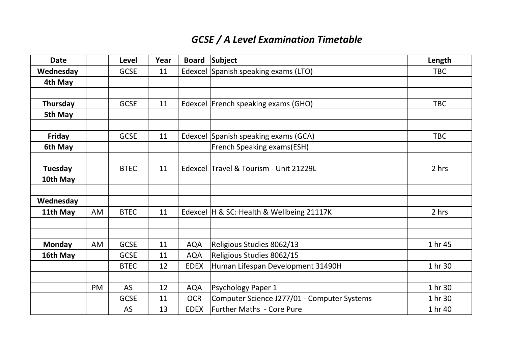## *GCSE / A Level Examination Timetable*

| <b>Date</b>    |           | <b>Level</b> | Year | <b>Board</b> | Subject                                     | Length     |
|----------------|-----------|--------------|------|--------------|---------------------------------------------|------------|
| Wednesday      |           | <b>GCSE</b>  | 11   |              | Edexcel Spanish speaking exams (LTO)        | <b>TBC</b> |
| 4th May        |           |              |      |              |                                             |            |
|                |           |              |      |              |                                             |            |
| Thursday       |           | <b>GCSE</b>  | 11   |              | Edexcel   French speaking exams (GHO)       | <b>TBC</b> |
| 5th May        |           |              |      |              |                                             |            |
|                |           |              |      |              |                                             |            |
| Friday         |           | <b>GCSE</b>  | 11   |              | Edexcel Spanish speaking exams (GCA)        | <b>TBC</b> |
| 6th May        |           |              |      |              | French Speaking exams(ESH)                  |            |
|                |           |              |      |              |                                             |            |
| <b>Tuesday</b> |           | <b>BTEC</b>  | 11   |              | Edexcel Travel & Tourism - Unit 21229L      | 2 hrs      |
| 10th May       |           |              |      |              |                                             |            |
|                |           |              |      |              |                                             |            |
| Wednesday      |           |              |      |              |                                             |            |
| 11th May       | AM        | <b>BTEC</b>  | 11   |              | Edexcel   H & SC: Health & Wellbeing 21117K | 2 hrs      |
|                |           |              |      |              |                                             |            |
|                |           |              |      |              |                                             |            |
| <b>Monday</b>  | AM        | <b>GCSE</b>  | 11   | <b>AQA</b>   | Religious Studies 8062/13                   | 1 hr 45    |
| 16th May       |           | <b>GCSE</b>  | 11   | <b>AQA</b>   | Religious Studies 8062/15                   |            |
|                |           | <b>BTEC</b>  | 12   | <b>EDEX</b>  | Human Lifespan Development 31490H           | 1 hr 30    |
|                |           |              |      |              |                                             |            |
|                | <b>PM</b> | AS           | 12   | <b>AQA</b>   | <b>Psychology Paper 1</b>                   | 1 hr 30    |
|                |           | <b>GCSE</b>  | 11   | <b>OCR</b>   | Computer Science J277/01 - Computer Systems | 1 hr 30    |
|                |           | AS           | 13   | <b>EDEX</b>  | <b>Further Maths - Core Pure</b>            | 1 hr 40    |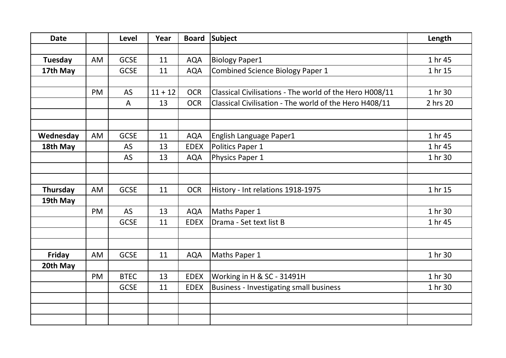| <b>Date</b> |           | <b>Level</b> | Year      | <b>Board</b> | <b>Subject</b>                                          | Length   |
|-------------|-----------|--------------|-----------|--------------|---------------------------------------------------------|----------|
|             |           |              |           |              |                                                         |          |
| Tuesday     | AM        | <b>GCSE</b>  | 11        | <b>AQA</b>   | <b>Biology Paper1</b>                                   | 1 hr 45  |
| 17th May    |           | <b>GCSE</b>  | 11        | <b>AQA</b>   | <b>Combined Science Biology Paper 1</b>                 | 1 hr 15  |
|             |           |              |           |              |                                                         |          |
|             | <b>PM</b> | <b>AS</b>    | $11 + 12$ | <b>OCR</b>   | Classical Civilisations - The world of the Hero H008/11 | 1 hr 30  |
|             |           | A            | 13        | <b>OCR</b>   | Classical Civilisation - The world of the Hero H408/11  | 2 hrs 20 |
|             |           |              |           |              |                                                         |          |
|             |           |              |           |              |                                                         |          |
| Wednesday   | AM        | <b>GCSE</b>  | 11        | <b>AQA</b>   | English Language Paper1                                 | 1 hr 45  |
| 18th May    |           | AS           | 13        | <b>EDEX</b>  | Politics Paper 1                                        | 1 hr 45  |
|             |           | AS           | 13        | <b>AQA</b>   | Physics Paper 1                                         | 1 hr 30  |
|             |           |              |           |              |                                                         |          |
|             |           |              |           |              |                                                         |          |
| Thursday    | AM        | <b>GCSE</b>  | 11        | <b>OCR</b>   | History - Int relations 1918-1975                       | 1 hr 15  |
| 19th May    |           |              |           |              |                                                         |          |
|             | PM        | <b>AS</b>    | 13        | <b>AQA</b>   | Maths Paper 1                                           | 1 hr 30  |
|             |           | <b>GCSE</b>  | 11        | <b>EDEX</b>  | Drama - Set text list B                                 | 1 hr 45  |
|             |           |              |           |              |                                                         |          |
|             |           |              |           |              |                                                         |          |
| Friday      | AM        | <b>GCSE</b>  | 11        | <b>AQA</b>   | Maths Paper 1                                           | 1 hr 30  |
| 20th May    |           |              |           |              |                                                         |          |
|             | <b>PM</b> | <b>BTEC</b>  | 13        | <b>EDEX</b>  | Working in H & SC - 31491H                              | 1 hr 30  |
|             |           | <b>GCSE</b>  | 11        | <b>EDEX</b>  | <b>Business - Investigating small business</b>          | 1 hr 30  |
|             |           |              |           |              |                                                         |          |
|             |           |              |           |              |                                                         |          |
|             |           |              |           |              |                                                         |          |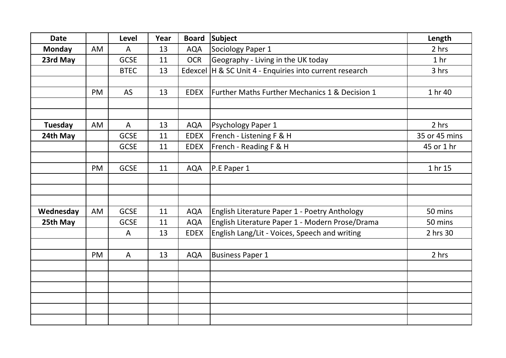| <b>Date</b>    |           | Level        | Year | <b>Board</b> | Subject                                                   | Length          |
|----------------|-----------|--------------|------|--------------|-----------------------------------------------------------|-----------------|
| <b>Monday</b>  | AM        | $\mathsf{A}$ | 13   | <b>AQA</b>   | Sociology Paper 1                                         | 2 hrs           |
| 23rd May       |           | <b>GCSE</b>  | 11   | <b>OCR</b>   | Geography - Living in the UK today                        | 1 <sub>hr</sub> |
|                |           | <b>BTEC</b>  | 13   |              | Edexcel   H & SC Unit 4 - Enquiries into current research | 3 hrs           |
|                |           |              |      |              |                                                           |                 |
|                | <b>PM</b> | <b>AS</b>    | 13   | <b>EDEX</b>  | Further Maths Further Mechanics 1 & Decision 1            | 1 hr 40         |
|                |           |              |      |              |                                                           |                 |
|                |           |              |      |              |                                                           |                 |
| <b>Tuesday</b> | AM        | A            | 13   | <b>AQA</b>   | <b>Psychology Paper 1</b>                                 | 2 hrs           |
| 24th May       |           | <b>GCSE</b>  | 11   | <b>EDEX</b>  | French - Listening F & H                                  | 35 or 45 mins   |
|                |           | <b>GCSE</b>  | 11   | <b>EDEX</b>  | French - Reading F & H                                    | 45 or 1 hr      |
|                |           |              |      |              |                                                           |                 |
|                | PM        | <b>GCSE</b>  | 11   | <b>AQA</b>   | P.E Paper 1                                               | 1 hr 15         |
|                |           |              |      |              |                                                           |                 |
|                |           |              |      |              |                                                           |                 |
|                |           |              |      |              |                                                           |                 |
| Wednesday      | AM        | <b>GCSE</b>  | 11   | <b>AQA</b>   | English Literature Paper 1 - Poetry Anthology             | 50 mins         |
| 25th May       |           | <b>GCSE</b>  | 11   | <b>AQA</b>   | English Literature Paper 1 - Modern Prose/Drama           | 50 mins         |
|                |           | A            | 13   | <b>EDEX</b>  | English Lang/Lit - Voices, Speech and writing             | 2 hrs 30        |
|                |           |              |      |              |                                                           |                 |
|                | PM        | $\mathsf{A}$ | 13   | <b>AQA</b>   | <b>Business Paper 1</b>                                   | 2 hrs           |
|                |           |              |      |              |                                                           |                 |
|                |           |              |      |              |                                                           |                 |
|                |           |              |      |              |                                                           |                 |
|                |           |              |      |              |                                                           |                 |
|                |           |              |      |              |                                                           |                 |
|                |           |              |      |              |                                                           |                 |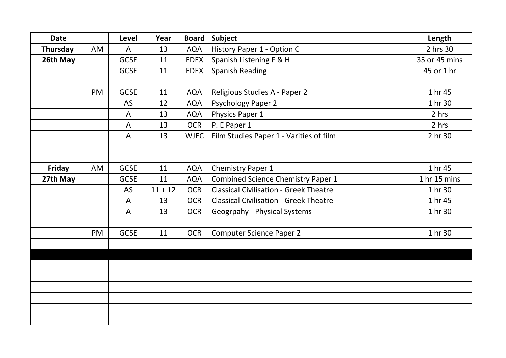| <b>Date</b> |           | Level        | Year      | <b>Board</b> | Subject                                       | Length        |
|-------------|-----------|--------------|-----------|--------------|-----------------------------------------------|---------------|
| Thursday    | <b>AM</b> | $\mathsf{A}$ | 13        | <b>AQA</b>   | History Paper 1 - Option C                    | 2 hrs 30      |
| 26th May    |           | <b>GCSE</b>  | 11        | <b>EDEX</b>  | Spanish Listening F & H                       | 35 or 45 mins |
|             |           | <b>GCSE</b>  | 11        | <b>EDEX</b>  | Spanish Reading                               | 45 or 1 hr    |
|             |           |              |           |              |                                               |               |
|             | PM        | <b>GCSE</b>  | 11        | <b>AQA</b>   | Religious Studies A - Paper 2                 | 1 hr 45       |
|             |           | AS           | 12        | <b>AQA</b>   | <b>Psychology Paper 2</b>                     | 1 hr 30       |
|             |           | A            | 13        | <b>AQA</b>   | Physics Paper 1                               | 2 hrs         |
|             |           | A            | 13        | <b>OCR</b>   | P. E Paper 1                                  | 2 hrs         |
|             |           | A            | 13        | <b>WJEC</b>  | Film Studies Paper 1 - Varities of film       | 2 hr 30       |
|             |           |              |           |              |                                               |               |
|             |           |              |           |              |                                               |               |
| Friday      | AM        | <b>GCSE</b>  | 11        | <b>AQA</b>   | Chemistry Paper 1                             | 1 hr 45       |
| 27th May    |           | <b>GCSE</b>  | 11        | <b>AQA</b>   | <b>Combined Science Chemistry Paper 1</b>     | 1 hr 15 mins  |
|             |           | AS           | $11 + 12$ | <b>OCR</b>   | <b>Classical Civilisation - Greek Theatre</b> | 1 hr 30       |
|             |           | A            | 13        | <b>OCR</b>   | <b>Classical Civilisation - Greek Theatre</b> | 1 hr 45       |
|             |           | A            | 13        | <b>OCR</b>   | Geogrpahy - Physical Systems                  | 1 hr 30       |
|             |           |              |           |              |                                               |               |
|             | <b>PM</b> | <b>GCSE</b>  | 11        | <b>OCR</b>   | <b>Computer Science Paper 2</b>               | 1 hr 30       |
|             |           |              |           |              |                                               |               |
|             |           |              |           |              |                                               |               |
|             |           |              |           |              |                                               |               |
|             |           |              |           |              |                                               |               |
|             |           |              |           |              |                                               |               |
|             |           |              |           |              |                                               |               |
|             |           |              |           |              |                                               |               |
|             |           |              |           |              |                                               |               |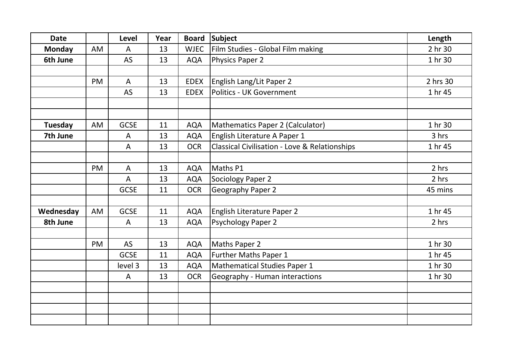| <b>Date</b>    |           | <b>Level</b>   | Year | <b>Board</b> | Subject                                                  | Length   |
|----------------|-----------|----------------|------|--------------|----------------------------------------------------------|----------|
| <b>Monday</b>  | <b>AM</b> | A              | 13   | <b>WJEC</b>  | Film Studies - Global Film making                        | 2 hr 30  |
| 6th June       |           | AS             | 13   | <b>AQA</b>   | <b>Physics Paper 2</b>                                   | 1 hr 30  |
|                |           |                |      |              |                                                          |          |
|                | <b>PM</b> | $\mathsf{A}$   | 13   | <b>EDEX</b>  | <b>English Lang/Lit Paper 2</b>                          | 2 hrs 30 |
|                |           | <b>AS</b>      | 13   | <b>EDEX</b>  | <b>Politics - UK Government</b>                          | 1 hr 45  |
|                |           |                |      |              |                                                          |          |
|                |           |                |      |              |                                                          |          |
| <b>Tuesday</b> | AM        | <b>GCSE</b>    | 11   | <b>AQA</b>   | Mathematics Paper 2 (Calculator)                         | 1 hr 30  |
| 7th June       |           | A              | 13   | <b>AQA</b>   | English Literature A Paper 1                             | 3 hrs    |
|                |           | A              | 13   | <b>OCR</b>   | <b>Classical Civilisation - Love &amp; Relationships</b> | 1 hr 45  |
|                |           |                |      |              |                                                          |          |
|                | <b>PM</b> | $\overline{A}$ | 13   | <b>AQA</b>   | Maths P1                                                 | 2 hrs    |
|                |           | $\overline{A}$ | 13   | <b>AQA</b>   | Sociology Paper 2                                        | 2 hrs    |
|                |           | <b>GCSE</b>    | 11   | <b>OCR</b>   | Geography Paper 2                                        | 45 mins  |
|                |           |                |      |              |                                                          |          |
| Wednesday      | AM        | <b>GCSE</b>    | 11   | <b>AQA</b>   | English Literature Paper 2                               | 1 hr 45  |
| 8th June       |           | A              | 13   | <b>AQA</b>   | <b>Psychology Paper 2</b>                                | 2 hrs    |
|                |           |                |      |              |                                                          |          |
|                | PM        | AS             | 13   | <b>AQA</b>   | Maths Paper 2                                            | 1 hr 30  |
|                |           | <b>GCSE</b>    | 11   | <b>AQA</b>   | Further Maths Paper 1                                    | 1 hr 45  |
|                |           | level 3        | 13   | <b>AQA</b>   | Mathematical Studies Paper 1                             | 1 hr 30  |
|                |           | A              | 13   | <b>OCR</b>   | Geography - Human interactions                           | 1 hr 30  |
|                |           |                |      |              |                                                          |          |
|                |           |                |      |              |                                                          |          |
|                |           |                |      |              |                                                          |          |
|                |           |                |      |              |                                                          |          |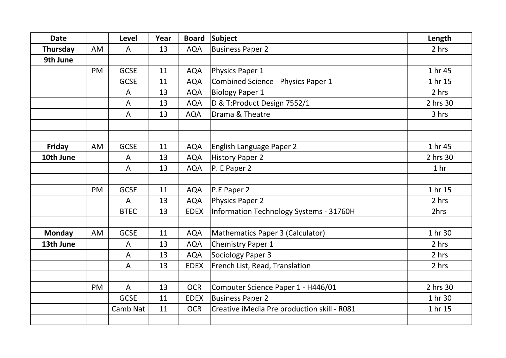| <b>Date</b>   |           | Level          | Year | <b>Board</b> | <b>Subject</b>                              | Length          |
|---------------|-----------|----------------|------|--------------|---------------------------------------------|-----------------|
| Thursday      | AM        | A              | 13   | <b>AQA</b>   | <b>Business Paper 2</b>                     | 2 hrs           |
| 9th June      |           |                |      |              |                                             |                 |
|               | <b>PM</b> | <b>GCSE</b>    | 11   | <b>AQA</b>   | Physics Paper 1                             | 1 hr 45         |
|               |           | <b>GCSE</b>    | 11   | <b>AQA</b>   | Combined Science - Physics Paper 1          | 1 hr 15         |
|               |           | A              | 13   | <b>AQA</b>   | <b>Biology Paper 1</b>                      | 2 hrs           |
|               |           | A              | 13   | <b>AQA</b>   | D & T:Product Design 7552/1                 | 2 hrs 30        |
|               |           | A              | 13   | <b>AQA</b>   | Drama & Theatre                             | 3 hrs           |
|               |           |                |      |              |                                             |                 |
|               |           |                |      |              |                                             |                 |
| Friday        | AM        | <b>GCSE</b>    | 11   | <b>AQA</b>   | English Language Paper 2                    | 1 hr 45         |
| 10th June     |           | A              | 13   | <b>AQA</b>   | <b>History Paper 2</b>                      | 2 hrs 30        |
|               |           | A              | 13   | <b>AQA</b>   | P. E Paper 2                                | 1 <sub>hr</sub> |
|               |           |                |      |              |                                             |                 |
|               | <b>PM</b> | <b>GCSE</b>    | 11   | <b>AQA</b>   | P.E Paper 2                                 | 1 hr 15         |
|               |           | A              | 13   | <b>AQA</b>   | <b>Physics Paper 2</b>                      | 2 hrs           |
|               |           | <b>BTEC</b>    | 13   | <b>EDEX</b>  | Information Technology Systems - 31760H     | 2hrs            |
|               |           |                |      |              |                                             |                 |
| <b>Monday</b> | AM        | <b>GCSE</b>    | 11   | <b>AQA</b>   | Mathematics Paper 3 (Calculator)            | 1 hr 30         |
| 13th June     |           | A              | 13   | <b>AQA</b>   | <b>Chemistry Paper 1</b>                    | 2 hrs           |
|               |           | A              | 13   | <b>AQA</b>   | Sociology Paper 3                           | 2 hrs           |
|               |           | A              | 13   | <b>EDEX</b>  | French List, Read, Translation              | 2 hrs           |
|               |           |                |      |              |                                             |                 |
|               | <b>PM</b> | $\overline{A}$ | 13   | <b>OCR</b>   | Computer Science Paper 1 - H446/01          | 2 hrs 30        |
|               |           | <b>GCSE</b>    | 11   | <b>EDEX</b>  | <b>Business Paper 2</b>                     | 1 hr 30         |
|               |           | Camb Nat       | 11   | <b>OCR</b>   | Creative iMedia Pre production skill - R081 | 1 hr 15         |
|               |           |                |      |              |                                             |                 |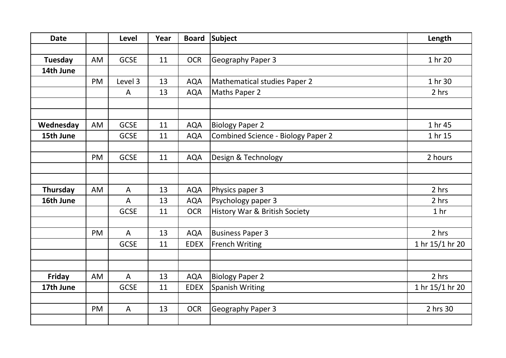| <b>Date</b> |           | Level          | Year | <b>Board</b> | Subject                                   | Length          |
|-------------|-----------|----------------|------|--------------|-------------------------------------------|-----------------|
|             |           |                |      |              |                                           |                 |
| Tuesday     | AM        | <b>GCSE</b>    | 11   | <b>OCR</b>   | Geography Paper 3                         | 1 hr 20         |
| 14th June   |           |                |      |              |                                           |                 |
|             | <b>PM</b> | Level 3        | 13   | <b>AQA</b>   | Mathematical studies Paper 2              | 1 hr 30         |
|             |           | A              | 13   | <b>AQA</b>   | Maths Paper 2                             | 2 hrs           |
|             |           |                |      |              |                                           |                 |
|             |           |                |      |              |                                           |                 |
| Wednesday   | AM        | <b>GCSE</b>    | 11   | <b>AQA</b>   | <b>Biology Paper 2</b>                    | 1 hr 45         |
| 15th June   |           | <b>GCSE</b>    | 11   | <b>AQA</b>   | <b>Combined Science - Biology Paper 2</b> | 1 hr 15         |
|             |           |                |      |              |                                           |                 |
|             | PM        | <b>GCSE</b>    | 11   | <b>AQA</b>   | Design & Technology                       | 2 hours         |
|             |           |                |      |              |                                           |                 |
|             |           |                |      |              |                                           |                 |
| Thursday    | AM        | $\mathsf{A}$   | 13   | <b>AQA</b>   | Physics paper 3                           | 2 hrs           |
| 16th June   |           | A              | 13   | <b>AQA</b>   | Psychology paper 3                        | 2 hrs           |
|             |           | <b>GCSE</b>    | 11   | <b>OCR</b>   | History War & British Society             | 1 <sub>hr</sub> |
|             |           |                |      |              |                                           |                 |
|             | <b>PM</b> | $\overline{A}$ | 13   | <b>AQA</b>   | <b>Business Paper 3</b>                   | 2 hrs           |
|             |           | <b>GCSE</b>    | 11   | <b>EDEX</b>  | <b>French Writing</b>                     | 1 hr 15/1 hr 20 |
|             |           |                |      |              |                                           |                 |
|             |           |                |      |              |                                           |                 |
| Friday      | AM        | A              | 13   | <b>AQA</b>   | <b>Biology Paper 2</b>                    | 2 hrs           |
| 17th June   |           | <b>GCSE</b>    | 11   | <b>EDEX</b>  | <b>Spanish Writing</b>                    | 1 hr 15/1 hr 20 |
|             |           |                |      |              |                                           |                 |
|             | PM        | $\mathsf{A}$   | 13   | <b>OCR</b>   | Geography Paper 3                         | 2 hrs 30        |
|             |           |                |      |              |                                           |                 |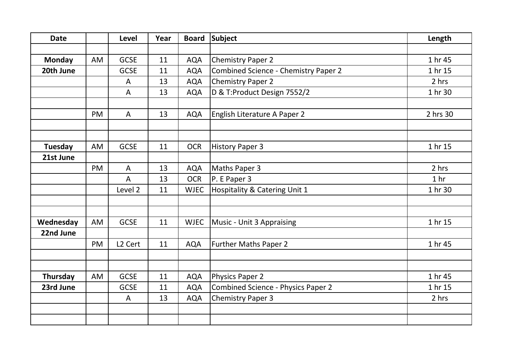| <b>Date</b>   |           | Level               | Year | <b>Board</b> | Subject                              | Length          |
|---------------|-----------|---------------------|------|--------------|--------------------------------------|-----------------|
| <b>Monday</b> | AM        | <b>GCSE</b>         | 11   | <b>AQA</b>   | <b>Chemistry Paper 2</b>             | 1 hr 45         |
| 20th June     |           | <b>GCSE</b>         | 11   | <b>AQA</b>   | Combined Science - Chemistry Paper 2 | 1 hr 15         |
|               |           |                     | 13   | <b>AQA</b>   | <b>Chemistry Paper 2</b>             | 2 hrs           |
|               |           | A                   |      |              |                                      |                 |
|               |           | A                   | 13   | <b>AQA</b>   | D & T:Product Design 7552/2          | 1 hr 30         |
|               | PM        | A                   | 13   | <b>AQA</b>   | English Literature A Paper 2         | 2 hrs 30        |
|               |           |                     |      |              |                                      |                 |
| Tuesday       | AM        | <b>GCSE</b>         | 11   | <b>OCR</b>   | <b>History Paper 3</b>               | 1 hr 15         |
| 21st June     |           |                     |      |              |                                      |                 |
|               | <b>PM</b> | A                   | 13   | <b>AQA</b>   | Maths Paper 3                        | 2 hrs           |
|               |           | A                   | 13   | <b>OCR</b>   | P. E Paper 3                         | 1 <sub>hr</sub> |
|               |           | Level 2             | 11   | <b>WJEC</b>  | Hospitality & Catering Unit 1        | 1 hr 30         |
|               |           |                     |      |              |                                      |                 |
| Wednesday     | AM        | <b>GCSE</b>         | 11   | <b>WJEC</b>  | Music - Unit 3 Appraising            | 1 hr 15         |
| 22nd June     |           |                     |      |              |                                      |                 |
|               | PM        | L <sub>2</sub> Cert | 11   | <b>AQA</b>   | <b>Further Maths Paper 2</b>         | 1 hr 45         |
|               |           |                     |      |              |                                      |                 |
| Thursday      | AM        | <b>GCSE</b>         | 11   | <b>AQA</b>   | <b>Physics Paper 2</b>               | 1 hr 45         |
| 23rd June     |           | <b>GCSE</b>         | 11   | <b>AQA</b>   | Combined Science - Physics Paper 2   | 1 hr 15         |
|               |           | A                   | 13   | <b>AQA</b>   | <b>Chemistry Paper 3</b>             | 2 hrs           |
|               |           |                     |      |              |                                      |                 |